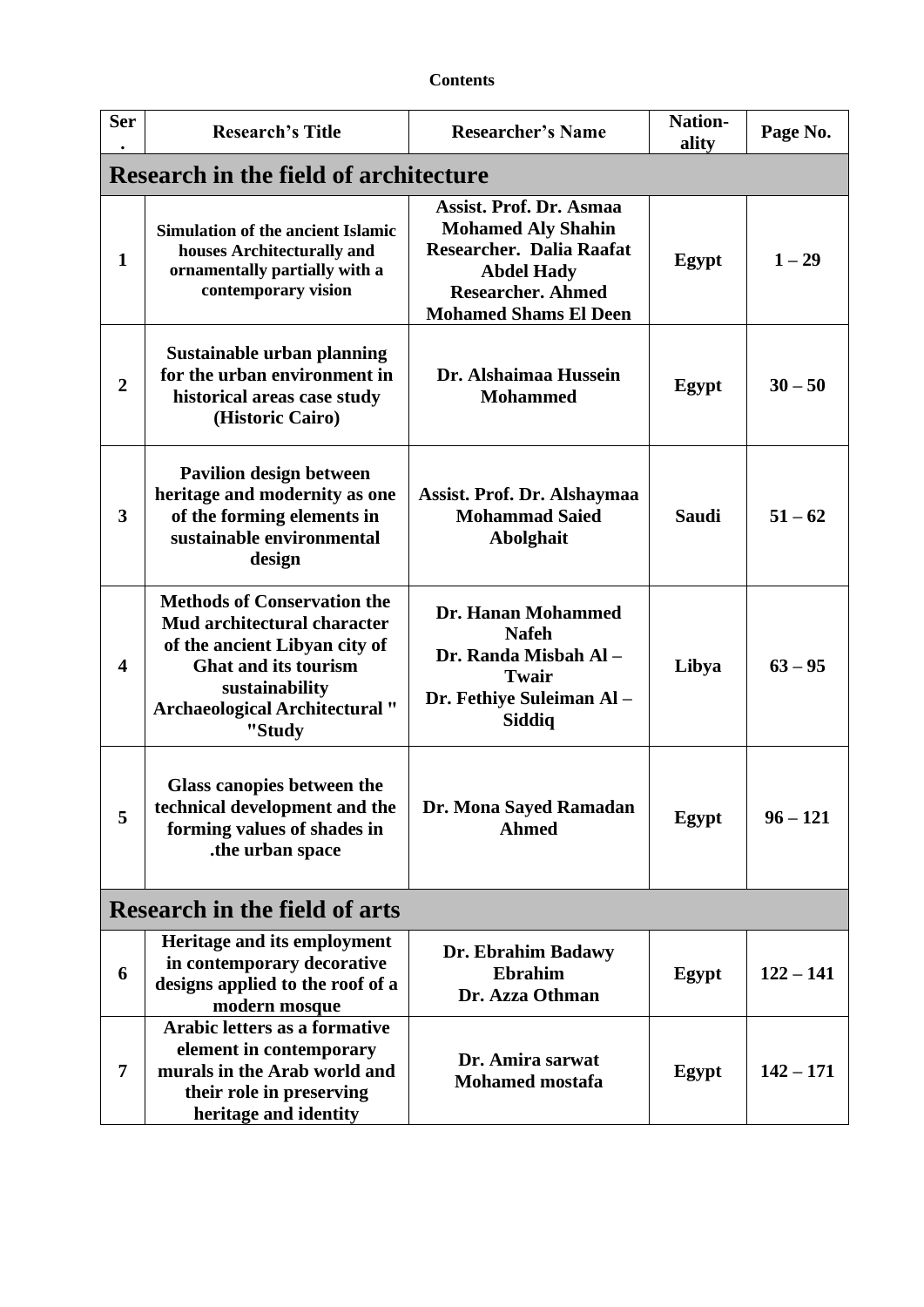| <b>Contents</b> |  |
|-----------------|--|
|-----------------|--|

| <b>Ser</b>     | <b>Research's Title</b>                                                                                                                                                                         | <b>Researcher's Name</b>                                                                                                                                          | <b>Nation-</b><br>ality | Page No.    |
|----------------|-------------------------------------------------------------------------------------------------------------------------------------------------------------------------------------------------|-------------------------------------------------------------------------------------------------------------------------------------------------------------------|-------------------------|-------------|
|                | <b>Research in the field of architecture</b>                                                                                                                                                    |                                                                                                                                                                   |                         |             |
| $\mathbf{1}$   | <b>Simulation of the ancient Islamic</b><br>houses Architecturally and<br>ornamentally partially with a<br>contemporary vision                                                                  | Assist. Prof. Dr. Asmaa<br><b>Mohamed Aly Shahin</b><br>Researcher. Dalia Raafat<br><b>Abdel Hady</b><br><b>Researcher. Ahmed</b><br><b>Mohamed Shams El Deen</b> | <b>Egypt</b>            | $1 - 29$    |
| $\overline{2}$ | Sustainable urban planning<br>for the urban environment in<br>historical areas case study<br>(Historic Cairo)                                                                                   | Dr. Alshaimaa Hussein<br><b>Mohammed</b>                                                                                                                          | Egypt                   | $30 - 50$   |
| 3              | <b>Pavilion design between</b><br>heritage and modernity as one<br>of the forming elements in<br>sustainable environmental<br>design                                                            | Assist. Prof. Dr. Alshaymaa<br><b>Mohammad Saied</b><br>Abolghait                                                                                                 | <b>Saudi</b>            | $51 - 62$   |
| 4              | <b>Methods of Conservation the</b><br>Mud architectural character<br>of the ancient Libyan city of<br><b>Ghat and its tourism</b><br>sustainability<br>Archaeological Architectural "<br>"Study | Dr. Hanan Mohammed<br><b>Nafeh</b><br>Dr. Randa Misbah Al-<br>Twair<br>Dr. Fethiye Suleiman Al-<br>Siddiq                                                         | Libya                   | $63 - 95$   |
| 5              | <b>Glass canopies between the</b><br>technical development and the<br>forming values of shades in<br>.the urban space                                                                           | Dr. Mona Sayed Ramadan<br><b>Ahmed</b>                                                                                                                            | Egypt                   | $96 - 121$  |
|                | <b>Research in the field of arts</b>                                                                                                                                                            |                                                                                                                                                                   |                         |             |
| 6              | Heritage and its employment<br>in contemporary decorative<br>designs applied to the roof of a<br>modern mosque                                                                                  | Dr. Ebrahim Badawy<br><b>Ebrahim</b><br>Dr. Azza Othman                                                                                                           | Egypt                   | $122 - 141$ |
| 7              | <b>Arabic letters as a formative</b><br>element in contemporary<br>murals in the Arab world and<br>their role in preserving<br>heritage and identity                                            | Dr. Amira sarwat<br><b>Mohamed mostafa</b>                                                                                                                        | Egypt                   | $142 - 171$ |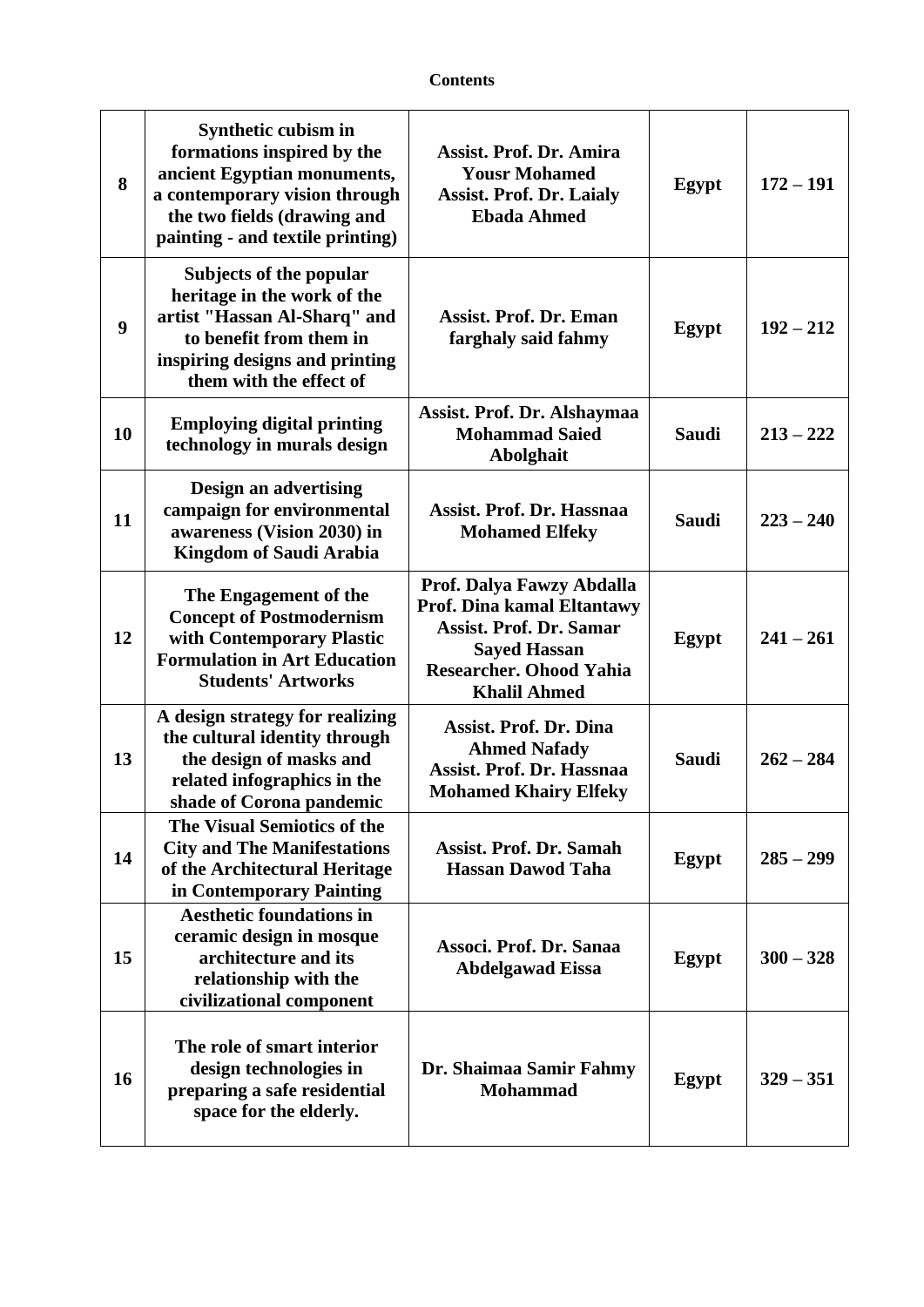## **Contents**

| 8  | Synthetic cubism in<br>formations inspired by the<br>ancient Egyptian monuments,<br>a contemporary vision through<br>the two fields (drawing and<br>painting - and textile printing) | <b>Assist. Prof. Dr. Amira</b><br><b>Yousr Mohamed</b><br><b>Assist. Prof. Dr. Laialy</b><br><b>Ebada Ahmed</b>                                                                  | Egypt        | $172 - 191$ |
|----|--------------------------------------------------------------------------------------------------------------------------------------------------------------------------------------|----------------------------------------------------------------------------------------------------------------------------------------------------------------------------------|--------------|-------------|
| 9  | Subjects of the popular<br>heritage in the work of the<br>artist "Hassan Al-Sharq" and<br>to benefit from them in<br>inspiring designs and printing<br>them with the effect of       | <b>Assist. Prof. Dr. Eman</b><br>farghaly said fahmy                                                                                                                             | Egypt        | $192 - 212$ |
| 10 | <b>Employing digital printing</b><br>technology in murals design                                                                                                                     | Assist. Prof. Dr. Alshaymaa<br><b>Mohammad Saied</b><br>Abolghait                                                                                                                | <b>Saudi</b> | $213 - 222$ |
| 11 | <b>Design an advertising</b><br>campaign for environmental<br>awareness (Vision 2030) in<br><b>Kingdom of Saudi Arabia</b>                                                           | Assist. Prof. Dr. Hassnaa<br><b>Mohamed Elfeky</b>                                                                                                                               | <b>Saudi</b> | $223 - 240$ |
| 12 | The Engagement of the<br><b>Concept of Postmodernism</b><br>with Contemporary Plastic<br><b>Formulation in Art Education</b><br><b>Students' Artworks</b>                            | Prof. Dalya Fawzy Abdalla<br><b>Prof. Dina kamal Eltantawy</b><br><b>Assist. Prof. Dr. Samar</b><br><b>Sayed Hassan</b><br><b>Researcher. Ohood Yahia</b><br><b>Khalil Ahmed</b> | <b>Egypt</b> | $241 - 261$ |
| 13 | A design strategy for realizing<br>the cultural identity through<br>the design of masks and<br>related infographics in the<br>shade of Corona pandemic                               | <b>Assist. Prof. Dr. Dina</b><br><b>Ahmed Nafady</b><br>Assist. Prof. Dr. Hassnaa<br><b>Mohamed Khairy Elfeky</b>                                                                | Saudi        | $262 - 284$ |
| 14 | The Visual Semiotics of the<br><b>City and The Manifestations</b><br>of the Architectural Heritage<br>in Contemporary Painting                                                       | <b>Assist. Prof. Dr. Samah</b><br><b>Hassan Dawod Taha</b>                                                                                                                       | <b>Egypt</b> | $285 - 299$ |
| 15 | <b>Aesthetic foundations in</b><br>ceramic design in mosque<br>architecture and its<br>relationship with the<br>civilizational component                                             | Associ. Prof. Dr. Sanaa<br><b>Abdelgawad Eissa</b>                                                                                                                               | Egypt        | $300 - 328$ |
| 16 | The role of smart interior<br>design technologies in<br>preparing a safe residential<br>space for the elderly.                                                                       | Dr. Shaimaa Samir Fahmy<br><b>Mohammad</b>                                                                                                                                       | Egypt        | $329 - 351$ |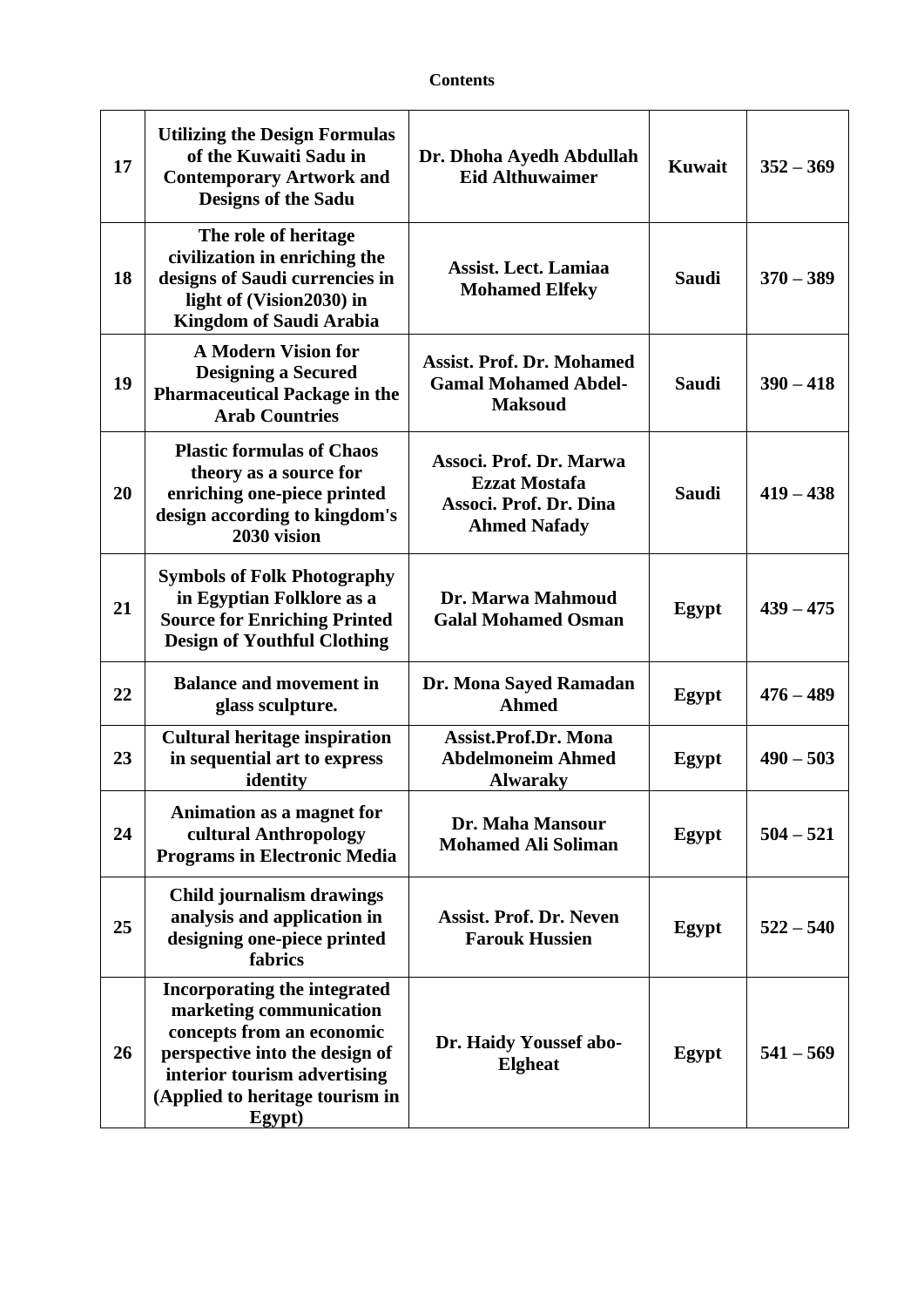## **Contents**

| 17 | <b>Utilizing the Design Formulas</b><br>of the Kuwaiti Sadu in<br><b>Contemporary Artwork and</b><br><b>Designs of the Sadu</b>                                                                     | Dr. Dhoha Ayedh Abdullah<br><b>Eid Althuwaimer</b>                                               | <b>Kuwait</b> | $352 - 369$ |
|----|-----------------------------------------------------------------------------------------------------------------------------------------------------------------------------------------------------|--------------------------------------------------------------------------------------------------|---------------|-------------|
| 18 | The role of heritage<br>civilization in enriching the<br>designs of Saudi currencies in<br>light of (Vision2030) in<br><b>Kingdom of Saudi Arabia</b>                                               | <b>Assist. Lect. Lamiaa</b><br><b>Mohamed Elfeky</b>                                             | <b>Saudi</b>  | $370 - 389$ |
| 19 | <b>A Modern Vision for</b><br><b>Designing a Secured</b><br><b>Pharmaceutical Package in the</b><br><b>Arab Countries</b>                                                                           | <b>Assist. Prof. Dr. Mohamed</b><br><b>Gamal Mohamed Abdel-</b><br><b>Maksoud</b>                | <b>Saudi</b>  | $390 - 418$ |
| 20 | <b>Plastic formulas of Chaos</b><br>theory as a source for<br>enriching one-piece printed<br>design according to kingdom's<br>2030 vision                                                           | Associ. Prof. Dr. Marwa<br><b>Ezzat Mostafa</b><br>Associ. Prof. Dr. Dina<br><b>Ahmed Nafady</b> | <b>Saudi</b>  | $419 - 438$ |
| 21 | <b>Symbols of Folk Photography</b><br>in Egyptian Folklore as a<br><b>Source for Enriching Printed</b><br><b>Design of Youthful Clothing</b>                                                        | Dr. Marwa Mahmoud<br><b>Galal Mohamed Osman</b>                                                  | Egypt         | $439 - 475$ |
| 22 | <b>Balance and movement in</b><br>glass sculpture.                                                                                                                                                  | Dr. Mona Sayed Ramadan<br><b>Ahmed</b>                                                           | Egypt         | $476 - 489$ |
| 23 | <b>Cultural heritage inspiration</b><br>in sequential art to express<br>identity                                                                                                                    | <b>Assist.Prof.Dr. Mona</b><br><b>Abdelmoneim Ahmed</b><br><b>Alwaraky</b>                       | Egypt         | $490 - 503$ |
| 24 | Animation as a magnet for<br>cultural Anthropology<br><b>Programs in Electronic Media</b>                                                                                                           | Dr. Maha Mansour<br><b>Mohamed Ali Soliman</b>                                                   | Egypt         | $504 - 521$ |
| 25 | <b>Child journalism drawings</b><br>analysis and application in<br>designing one-piece printed<br>fabrics                                                                                           | <b>Assist. Prof. Dr. Neven</b><br><b>Farouk Hussien</b>                                          | Egypt         | $522 - 540$ |
| 26 | Incorporating the integrated<br>marketing communication<br>concepts from an economic<br>perspective into the design of<br>interior tourism advertising<br>(Applied to heritage tourism in<br>Egypt) | Dr. Haidy Youssef abo-<br><b>Elgheat</b>                                                         | Egypt         | $541 - 569$ |